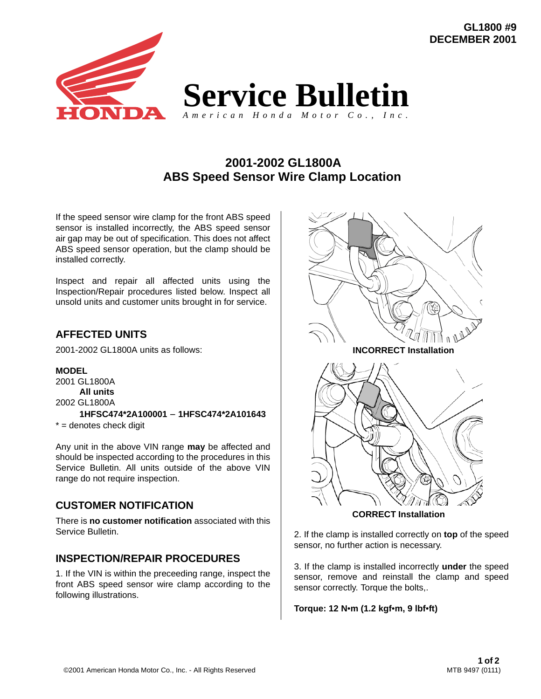

# **SAFETY 2001-2002 GL1800A ABS Speed Sensor Wire Clamp Location**

If the speed sensor wire clamp for the front ABS speed sensor is installed incorrectly, the ABS speed sensor air gap may be out of specification. This does not affect ABS speed sensor operation, but the clamp should be installed correctly.

Inspect and repair all affected units using the Inspection/Repair procedures listed below. Inspect all unsold units and customer units brought in for service.

## **AFFECTED UNITS**

2001-2002 GL1800A units as follows:

#### **MODEL**

2001 GL1800A **All units** 2002 GL1800A

**1HFSC474\*2A100001** − **1HFSC474\*2A101643**

\* = denotes check digit

Any unit in the above VIN range **may** be affected and should be inspected according to the procedures in this Service Bulletin. All units outside of the above VIN range do not require inspection.

## **CUSTOMER NOTIFICATION**

There is **no customer notification** associated with this Service Bulletin.

## **INSPECTION/REPAIR PROCEDURES**

1. If the VIN is within the preceeding range, inspect the front ABS speed sensor wire clamp according to the following illustrations.



2. If the clamp is installed correctly on **top** of the speed sensor, no further action is necessary.

3. If the clamp is installed incorrectly **under** the speed sensor, remove and reinstall the clamp and speed sensor correctly. Torque the bolts,.

**Torque: 12 N**•**m (1.2 kgf**•**m, 9 lbf**•**ft)**